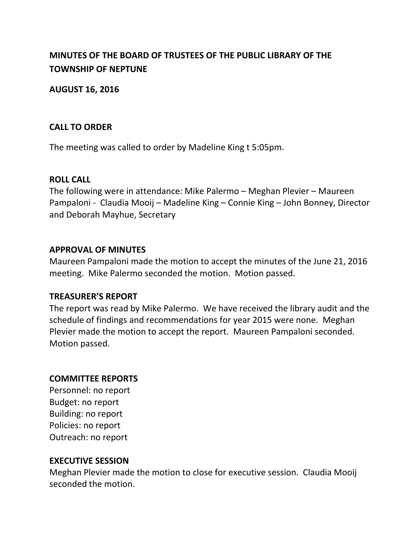# **MINUTES OF THE BOARD OF TRUSTEES OF THE PUBLIC LIBRARY OF THE TOWNSHIP OF NEPTUNE**

**AUGUST 16, 2016**

## **CALL TO ORDER**

The meeting was called to order by Madeline King t 5:05pm.

## **ROLL CALL**

The following were in attendance: Mike Palermo – Meghan Plevier – Maureen Pampaloni - Claudia Mooij – Madeline King – Connie King – John Bonney, Director and Deborah Mayhue, Secretary

## **APPROVAL OF MINUTES**

Maureen Pampaloni made the motion to accept the minutes of the June 21, 2016 meeting. Mike Palermo seconded the motion. Motion passed.

# **TREASURER'S REPORT**

The report was read by Mike Palermo. We have received the library audit and the schedule of findings and recommendations for year 2015 were none. Meghan Plevier made the motion to accept the report. Maureen Pampaloni seconded. Motion passed.

# **COMMITTEE REPORTS**

Personnel: no report Budget: no report Building: no report Policies: no report Outreach: no report

#### **EXECUTIVE SESSION**

Meghan Plevier made the motion to close for executive session. Claudia Mooij seconded the motion.